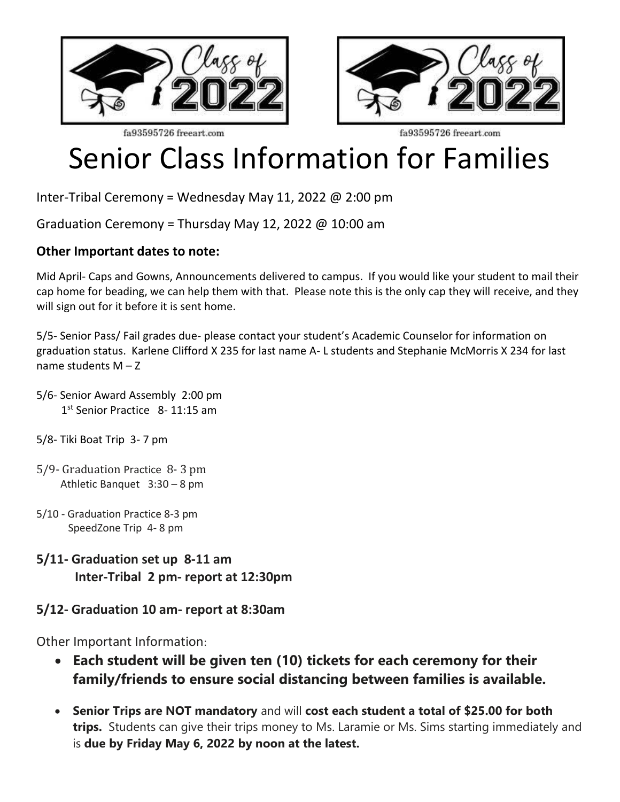



fa93595726 freeart.com

fa93595726 freeart.com

## Senior Class Information for Families

Inter-Tribal Ceremony = Wednesday May 11, 2022 @ 2:00 pm

Graduation Ceremony = Thursday May 12, 2022  $\omega$  10:00 am

## **Other Important dates to note:**

Mid April- Caps and Gowns, Announcements delivered to campus. If you would like your student to mail their cap home for beading, we can help them with that. Please note this is the only cap they will receive, and they will sign out for it before it is sent home.

5/5- Senior Pass/ Fail grades due- please contact your student's Academic Counselor for information on graduation status. Karlene Clifford X 235 for last name A- L students and Stephanie McMorris X 234 for last name students M – Z

- 5/6- Senior Award Assembly 2:00 pm 1<sup>st</sup> Senior Practice 8-11:15 am
- 5/8- Tiki Boat Trip 3- 7 pm
- 5/9- Graduation Practice 8- 3 pm Athletic Banquet 3:30 – 8 pm
- 5/10 Graduation Practice 8-3 pm SpeedZone Trip 4- 8 pm
- **5/11- Graduation set up 8-11 am Inter-Tribal 2 pm- report at 12:30pm**
- **5/12- Graduation 10 am- report at 8:30am**

Other Important Information:

- **Each student will be given ten (10) tickets for each ceremony for their family/friends to ensure social distancing between families is available.**
- **Senior Trips are NOT mandatory** and will **cost each student a total of \$25.00 for both trips.** Students can give their trips money to Ms. Laramie or Ms. Sims starting immediately and is **due by Friday May 6, 2022 by noon at the latest.**